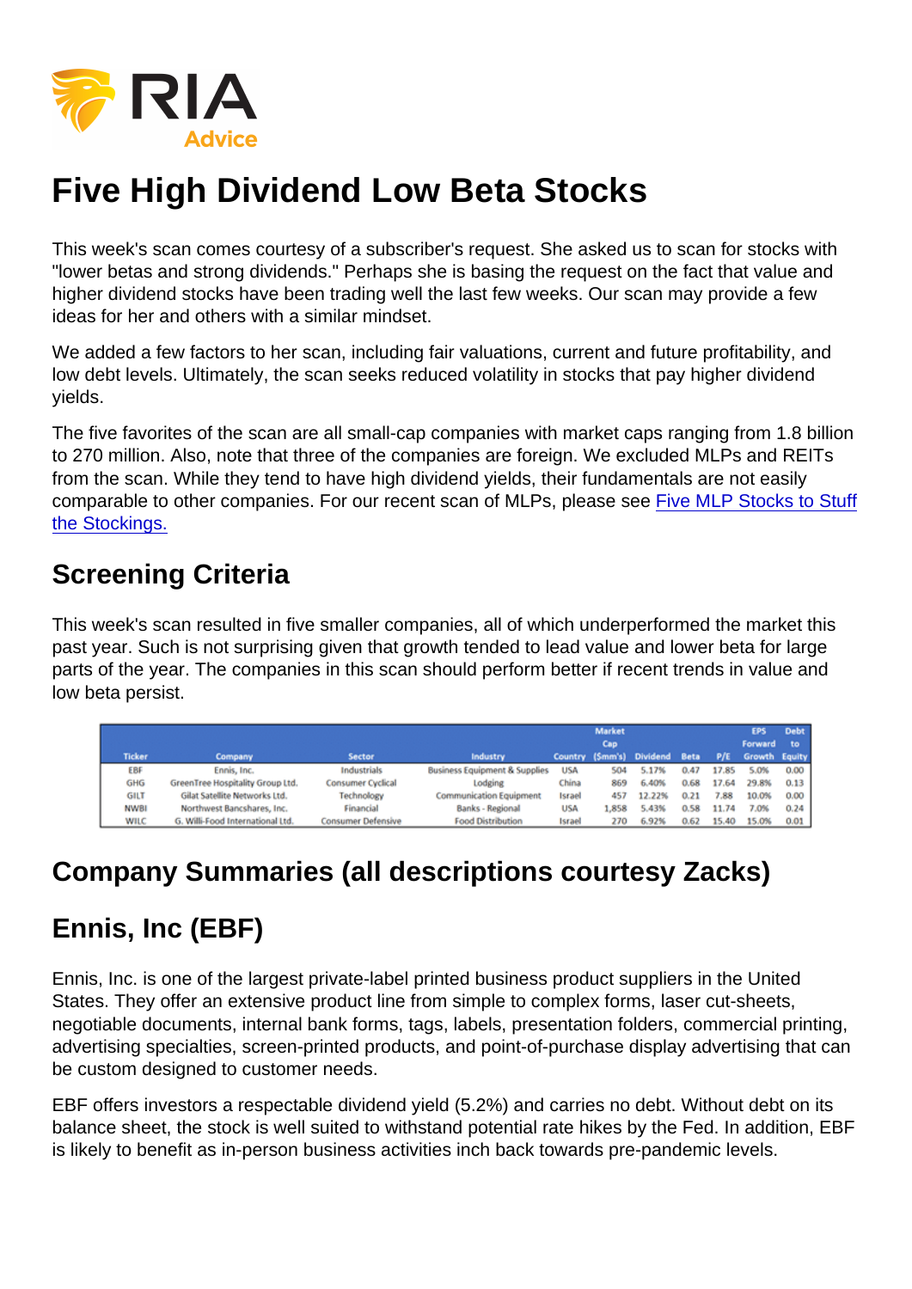# Five High Dividend Low Beta Stocks

This week's scan comes courtesy of a subscriber's request. She asked us to scan for stocks with "lower betas and strong dividends." Perhaps she is basing the request on the fact that value and higher dividend stocks have been trading well the last few weeks. Our scan may provide a few ideas for her and others with a similar mindset.

We added a few factors to her scan, including fair valuations, current and future profitability, and low debt levels. Ultimately, the scan seeks reduced volatility in stocks that pay higher dividend yields.

The five favorites of the scan are all small-cap companies with market caps ranging from 1.8 billion to 270 million. Also, note that three of the companies are foreign. We excluded MLPs and REITs from the scan. While they tend to have high dividend yields, their fundamentals are not easily comparable to other companies. For our recent scan of MLPs, please see [Five MLP Stocks to Stuff](https://realinvestmentadvice.com/five-mlp-stocks-to-stuff-the-stockings/) [the Stockings.](https://realinvestmentadvice.com/five-mlp-stocks-to-stuff-the-stockings/)

#### Screening Criteria

This week's scan resulted in five smaller companies, all of which underperformed the market this past year. Such is not surprising given that growth tended to lead value and lower beta for large parts of the year. The companies in this scan should perform better if recent trends in value and low beta persist.

#### Company Summaries (all descriptions courtesy Zacks)

## Ennis, Inc (EBF)

Ennis, Inc. is one of the largest private-label printed business product suppliers in the United States. They offer an extensive product line from simple to complex forms, laser cut-sheets, negotiable documents, internal bank forms, tags, labels, presentation folders, commercial printing, advertising specialties, screen-printed products, and point-of-purchase display advertising that can be custom designed to customer needs.

EBF offers investors a respectable dividend yield (5.2%) and carries no debt. Without debt on its balance sheet, the stock is well suited to withstand potential rate hikes by the Fed. In addition, EBF is likely to benefit as in-person business activities inch back towards pre-pandemic levels.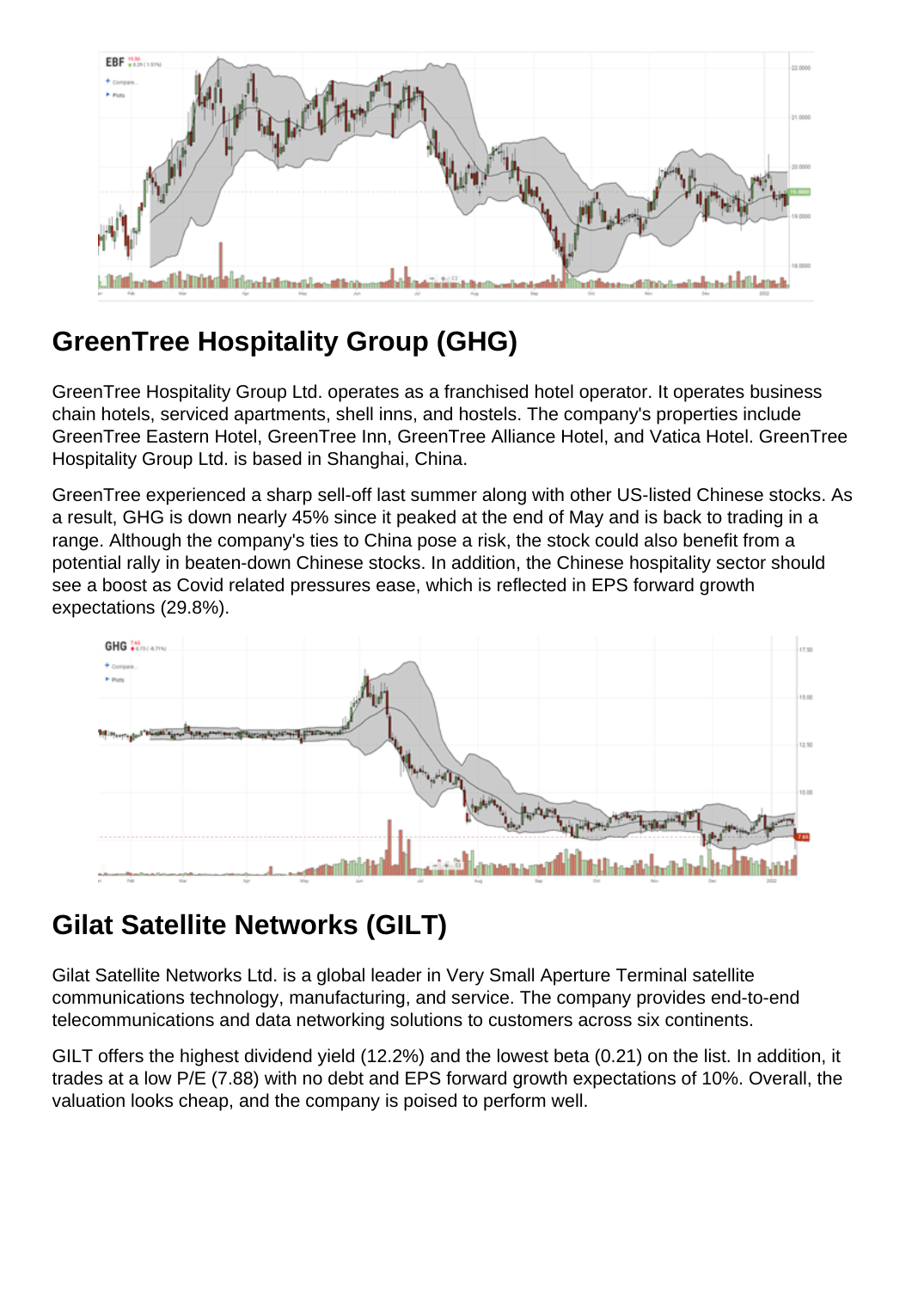# GreenTree Hospitality Group (GHG)

GreenTree Hospitality Group Ltd. operates as a franchised hotel operator. It operates business chain hotels, serviced apartments, shell inns, and hostels. The company's properties include GreenTree Eastern Hotel, GreenTree Inn, GreenTree Alliance Hotel, and Vatica Hotel. GreenTree Hospitality Group Ltd. is based in Shanghai, China.

GreenTree experienced a sharp sell-off last summer along with other US-listed Chinese stocks. As a result, GHG is down nearly 45% since it peaked at the end of May and is back to trading in a range. Although the company's ties to China pose a risk, the stock could also benefit from a potential rally in beaten-down Chinese stocks. In addition, the Chinese hospitality sector should see a boost as Covid related pressures ease, which is reflected in EPS forward growth expectations (29.8%).

## Gilat Satellite Networks (GILT)

Gilat Satellite Networks Ltd. is a global leader in Very Small Aperture Terminal satellite communications technology, manufacturing, and service. The company provides end-to-end telecommunications and data networking solutions to customers across six continents.

GILT offers the highest dividend yield (12.2%) and the lowest beta (0.21) on the list. In addition, it trades at a low P/E (7.88) with no debt and EPS forward growth expectations of 10%. Overall, the valuation looks cheap, and the company is poised to perform well.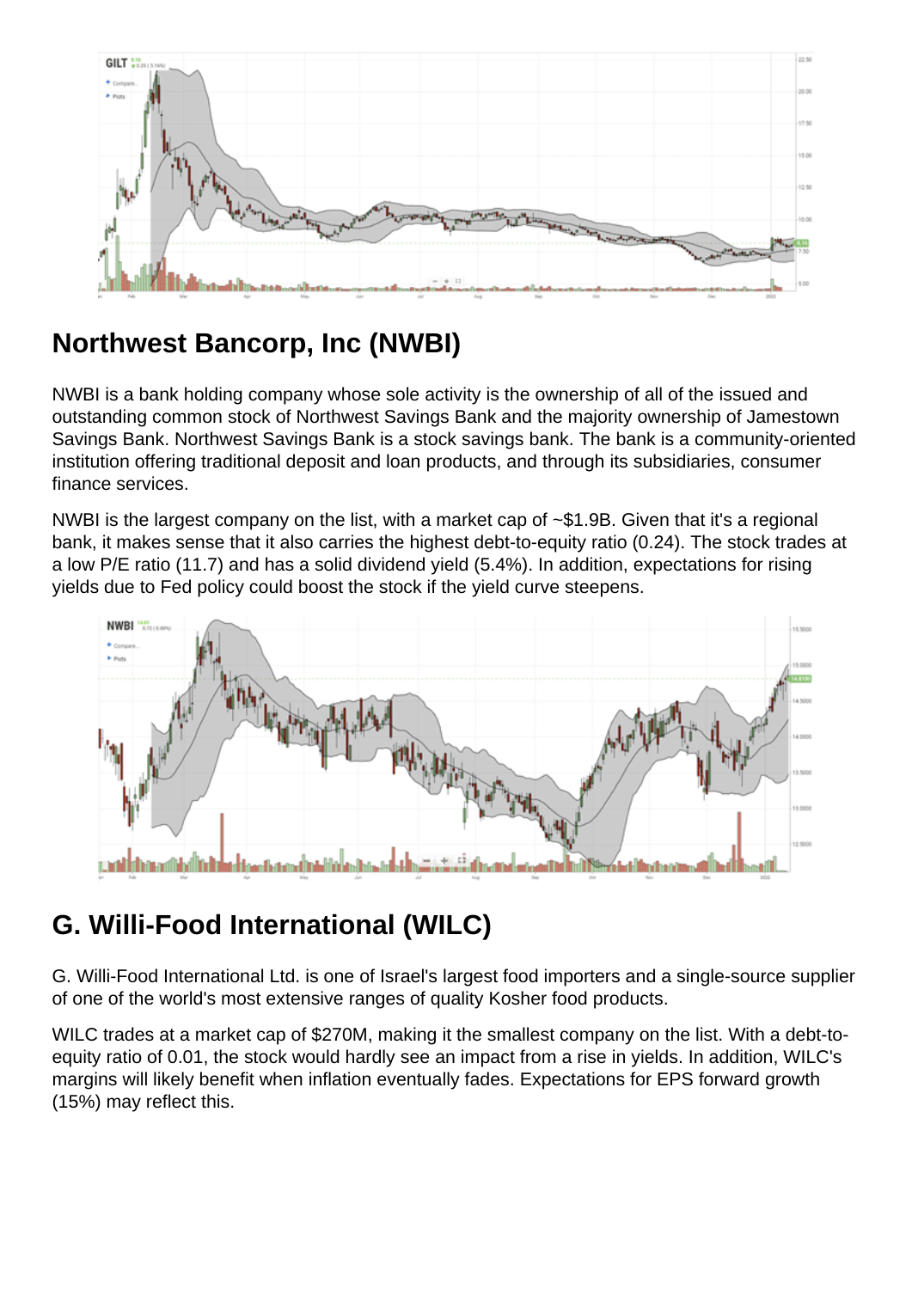### Northwest Bancorp, Inc (NWBI)

NWBI is a bank holding company whose sole activity is the ownership of all of the issued and outstanding common stock of Northwest Savings Bank and the majority ownership of Jamestown Savings Bank. Northwest Savings Bank is a stock savings bank. The bank is a community-oriented institution offering traditional deposit and loan products, and through its subsidiaries, consumer finance services.

NWBI is the largest company on the list, with a market cap of  $\sim$ \$1.9B. Given that it's a regional bank, it makes sense that it also carries the highest debt-to-equity ratio (0.24). The stock trades at a low P/E ratio (11.7) and has a solid dividend yield (5.4%). In addition, expectations for rising yields due to Fed policy could boost the stock if the yield curve steepens.

## G. Willi-Food International (WILC)

G. Willi-Food International Ltd. is one of Israel's largest food importers and a single-source supplier of one of the world's most extensive ranges of quality Kosher food products.

WILC trades at a market cap of \$270M, making it the smallest company on the list. With a debt-toequity ratio of 0.01, the stock would hardly see an impact from a rise in yields. In addition, WILC's margins will likely benefit when inflation eventually fades. Expectations for EPS forward growth (15%) may reflect this.